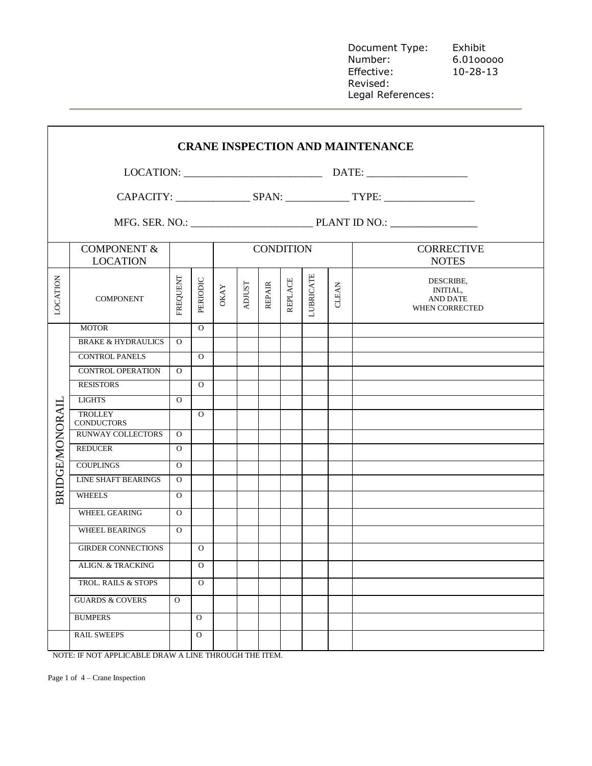Document Type: Exhibit Number: 6.01ooooo Effective: 10-28-13 Revised: Legal References:

|                        |                                           |          |                |                  |               |        |                |                                   |              | <b>CRANE INSPECTION AND MAINTENANCE</b>                                  |
|------------------------|-------------------------------------------|----------|----------------|------------------|---------------|--------|----------------|-----------------------------------|--------------|--------------------------------------------------------------------------|
|                        |                                           |          |                |                  |               |        |                |                                   |              |                                                                          |
|                        |                                           |          |                |                  |               |        |                |                                   |              |                                                                          |
|                        |                                           |          |                |                  |               |        |                |                                   |              |                                                                          |
|                        | <b>COMPONENT &amp;</b><br><b>LOCATION</b> |          |                | <b>CONDITION</b> |               |        |                | <b>CORRECTIVE</b><br><b>NOTES</b> |              |                                                                          |
| LOCATION               | <b>COMPONENT</b>                          | FREQUENT | PERIODIC       | <b>OKAY</b>      | <b>ADJUST</b> | REPAIR | <b>REPLACE</b> | <b>LUBRICATE</b>                  | <b>CLEAN</b> | DESCRIBE,<br><b>INITIAL,</b><br><b>AND DATE</b><br><b>WHEN CORRECTED</b> |
|                        | <b>MOTOR</b>                              |          | $\Omega$       |                  |               |        |                |                                   |              |                                                                          |
|                        | <b>BRAKE &amp; HYDRAULICS</b>             | $\Omega$ |                |                  |               |        |                |                                   |              |                                                                          |
|                        | <b>CONTROL PANELS</b>                     |          | $\Omega$       |                  |               |        |                |                                   |              |                                                                          |
|                        | <b>CONTROL OPERATION</b>                  | $\Omega$ |                |                  |               |        |                |                                   |              |                                                                          |
|                        | <b>RESISTORS</b>                          |          | $\Omega$       |                  |               |        |                |                                   |              |                                                                          |
|                        | <b>LIGHTS</b>                             | $\Omega$ |                |                  |               |        |                |                                   |              |                                                                          |
| <b>BRIDGE/MONORAIL</b> | <b>TROLLEY</b><br><b>CONDUCTORS</b>       |          | $\Omega$       |                  |               |        |                |                                   |              |                                                                          |
|                        | <b>RUNWAY COLLECTORS</b>                  | $\Omega$ |                |                  |               |        |                |                                   |              |                                                                          |
|                        | <b>REDUCER</b>                            | $\Omega$ |                |                  |               |        |                |                                   |              |                                                                          |
|                        | <b>COUPLINGS</b>                          | $\Omega$ |                |                  |               |        |                |                                   |              |                                                                          |
|                        | <b>LINE SHAFT BEARINGS</b>                | $\Omega$ |                |                  |               |        |                |                                   |              |                                                                          |
|                        | <b>WHEELS</b>                             | $\Omega$ |                |                  |               |        |                |                                   |              |                                                                          |
|                        | WHEEL GEARING                             | $\Omega$ |                |                  |               |        |                |                                   |              |                                                                          |
|                        | <b>WHEEL BEARINGS</b>                     | $\Omega$ |                |                  |               |        |                |                                   |              |                                                                          |
|                        | <b>GIRDER CONNECTIONS</b>                 |          | 0              |                  |               |        |                |                                   |              |                                                                          |
|                        | <b>ALIGN. &amp; TRACKING</b>              |          | $\overline{O}$ |                  |               |        |                |                                   |              |                                                                          |
|                        | TROL. RAILS & STOPS                       |          | $\Omega$       |                  |               |        |                |                                   |              |                                                                          |
|                        | <b>GUARDS &amp; COVERS</b>                | $\Omega$ |                |                  |               |        |                |                                   |              |                                                                          |
|                        | <b>BUMPERS</b>                            |          | $\mathbf{O}$   |                  |               |        |                |                                   |              |                                                                          |
|                        | <b>RAIL SWEEPS</b>                        |          | $\mathbf{O}$   |                  |               |        |                |                                   |              |                                                                          |

NOTE: IF NOT APPLICABLE DRAW A LINE THROUGH THE ITEM.

Page 1 of 4 – Crane Inspection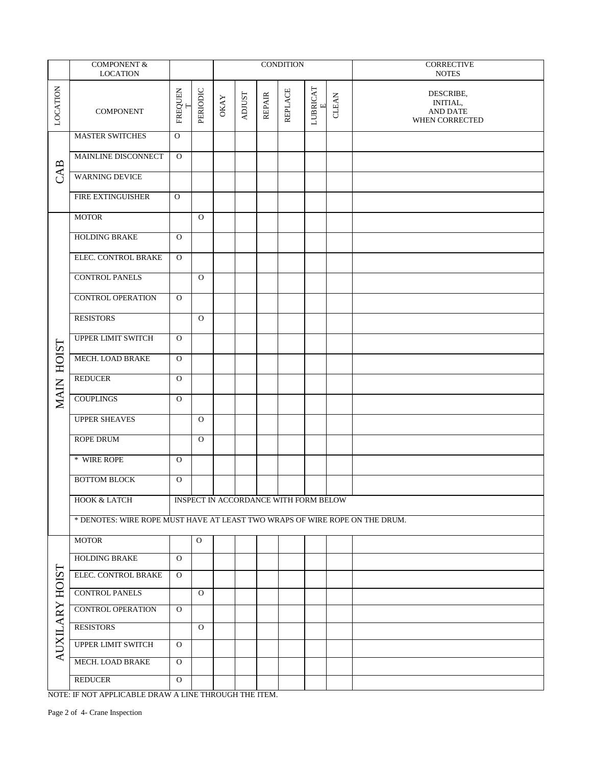|                | <b>COMPONENT &amp;</b><br><b>LOCATION</b>                                   |              |              |             |               |               | <b>CONDITION</b>                      |                         |       | CORRECTIVE<br><b>NOTES</b>                          |
|----------------|-----------------------------------------------------------------------------|--------------|--------------|-------------|---------------|---------------|---------------------------------------|-------------------------|-------|-----------------------------------------------------|
| LOCATION       | <b>COMPONENT</b>                                                            | FREQUEN<br>Η | PERIODIC     | <b>OKAY</b> | <b>ADJUST</b> | <b>REPAIR</b> | <b>REPLACE</b>                        | LUBRICAT<br>$\boxed{1}$ | CLEAN | DESCRIBE,<br>INITIAL,<br>AND DATE<br>WHEN CORRECTED |
|                | <b>MASTER SWITCHES</b>                                                      | $\mathbf{O}$ |              |             |               |               |                                       |                         |       |                                                     |
|                | MAINLINE DISCONNECT                                                         | $\mathbf{O}$ |              |             |               |               |                                       |                         |       |                                                     |
| CAB            | <b>WARNING DEVICE</b>                                                       |              |              |             |               |               |                                       |                         |       |                                                     |
|                | FIRE EXTINGUISHER                                                           | $\Omega$     |              |             |               |               |                                       |                         |       |                                                     |
|                | <b>MOTOR</b>                                                                |              | $\Omega$     |             |               |               |                                       |                         |       |                                                     |
|                | <b>HOLDING BRAKE</b>                                                        | $\mathbf{O}$ |              |             |               |               |                                       |                         |       |                                                     |
|                | ELEC. CONTROL BRAKE                                                         | $\mathbf{O}$ |              |             |               |               |                                       |                         |       |                                                     |
|                | <b>CONTROL PANELS</b>                                                       |              | $\Omega$     |             |               |               |                                       |                         |       |                                                     |
|                | <b>CONTROL OPERATION</b>                                                    | $\Omega$     |              |             |               |               |                                       |                         |       |                                                     |
|                | <b>RESISTORS</b>                                                            |              | $\Omega$     |             |               |               |                                       |                         |       |                                                     |
|                | <b>UPPER LIMIT SWITCH</b>                                                   | $\mathbf{O}$ |              |             |               |               |                                       |                         |       |                                                     |
|                | MECH. LOAD BRAKE                                                            | $\mathbf{O}$ |              |             |               |               |                                       |                         |       |                                                     |
| MAIN HOIST     | <b>REDUCER</b>                                                              | $\mathbf{O}$ |              |             |               |               |                                       |                         |       |                                                     |
|                | <b>COUPLINGS</b>                                                            | $\mathbf{O}$ |              |             |               |               |                                       |                         |       |                                                     |
|                | <b>UPPER SHEAVES</b>                                                        |              | $\mathbf{O}$ |             |               |               |                                       |                         |       |                                                     |
|                | <b>ROPE DRUM</b>                                                            |              | $\Omega$     |             |               |               |                                       |                         |       |                                                     |
|                | * WIRE ROPE                                                                 | $\mathbf{O}$ |              |             |               |               |                                       |                         |       |                                                     |
|                | <b>BOTTOM BLOCK</b>                                                         | $\mathbf{O}$ |              |             |               |               |                                       |                         |       |                                                     |
|                | HOOK & LATCH                                                                |              |              |             |               |               | INSPECT IN ACCORDANCE WITH FORM BELOW |                         |       |                                                     |
|                | * DENOTES: WIRE ROPE MUST HAVE AT LEAST TWO WRAPS OF WIRE ROPE ON THE DRUM. |              |              |             |               |               |                                       |                         |       |                                                     |
|                | <b>MOTOR</b>                                                                |              | $\mathbf{O}$ |             |               |               |                                       |                         |       |                                                     |
|                | HOLDING BRAKE                                                               | $\mathbf{O}$ |              |             |               |               |                                       |                         |       |                                                     |
|                | ELEC. CONTROL BRAKE                                                         | $\mathbf{O}$ |              |             |               |               |                                       |                         |       |                                                     |
|                | <b>CONTROL PANELS</b>                                                       |              | $\mathbf{O}$ |             |               |               |                                       |                         |       |                                                     |
| AUXILARY HOIST | <b>CONTROL OPERATION</b>                                                    | $\mathbf{O}$ |              |             |               |               |                                       |                         |       |                                                     |
|                | <b>RESISTORS</b>                                                            |              | $\mathbf{O}$ |             |               |               |                                       |                         |       |                                                     |
|                | UPPER LIMIT SWITCH                                                          | $\mathbf{O}$ |              |             |               |               |                                       |                         |       |                                                     |
|                | MECH. LOAD BRAKE                                                            | $\mathbf{O}$ |              |             |               |               |                                       |                         |       |                                                     |
|                | <b>REDUCER</b>                                                              | $\mathbf{O}$ |              |             |               |               |                                       |                         |       |                                                     |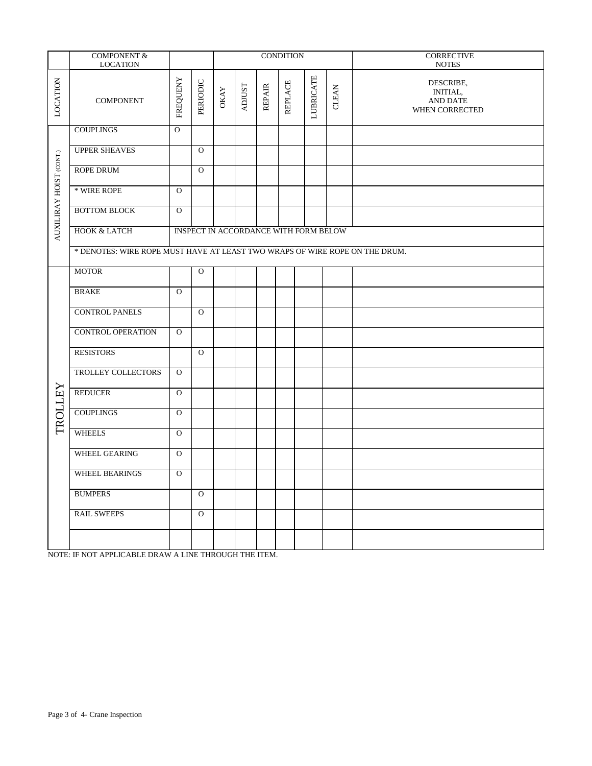|                         | COMPONENT &<br><b>LOCATION</b>                                              |                |             |             |               |               | <b>CONDITION</b> |                  |       | <b>CORRECTIVE</b><br><b>NOTES</b>                          |  |  |  |  |
|-------------------------|-----------------------------------------------------------------------------|----------------|-------------|-------------|---------------|---------------|------------------|------------------|-------|------------------------------------------------------------|--|--|--|--|
| LOCATION                | <b>COMPONENT</b>                                                            | FREQUENY       | PERIODIC    | <b>OKAY</b> | <b>ADJUST</b> | <b>REPAIR</b> | <b>REPLACE</b>   | <b>LUBRICATE</b> | CLEAN | DESCRIBE,<br><b>INITIAL,</b><br>AND DATE<br>WHEN CORRECTED |  |  |  |  |
|                         | <b>COUPLINGS</b>                                                            | $\overline{O}$ |             |             |               |               |                  |                  |       |                                                            |  |  |  |  |
|                         | <b>UPPER SHEAVES</b>                                                        |                | $\Omega$    |             |               |               |                  |                  |       |                                                            |  |  |  |  |
|                         | <b>ROPE DRUM</b>                                                            |                | $\Omega$    |             |               |               |                  |                  |       |                                                            |  |  |  |  |
| AUXILIRAY HOIST (CONT.) | * WIRE ROPE                                                                 | $\Omega$       |             |             |               |               |                  |                  |       |                                                            |  |  |  |  |
|                         | <b>BOTTOM BLOCK</b>                                                         | $\Omega$       |             |             |               |               |                  |                  |       |                                                            |  |  |  |  |
|                         | <b>HOOK &amp; LATCH</b><br>INSPECT IN ACCORDANCE WITH FORM BELOW            |                |             |             |               |               |                  |                  |       |                                                            |  |  |  |  |
|                         | * DENOTES: WIRE ROPE MUST HAVE AT LEAST TWO WRAPS OF WIRE ROPE ON THE DRUM. |                |             |             |               |               |                  |                  |       |                                                            |  |  |  |  |
|                         | <b>MOTOR</b>                                                                |                | $\mathbf O$ |             |               |               |                  |                  |       |                                                            |  |  |  |  |
|                         | <b>BRAKE</b>                                                                | $\Omega$       |             |             |               |               |                  |                  |       |                                                            |  |  |  |  |
|                         | <b>CONTROL PANELS</b>                                                       |                | $\Omega$    |             |               |               |                  |                  |       |                                                            |  |  |  |  |
|                         | <b>CONTROL OPERATION</b>                                                    | $\Omega$       |             |             |               |               |                  |                  |       |                                                            |  |  |  |  |
|                         | <b>RESISTORS</b>                                                            |                | $\Omega$    |             |               |               |                  |                  |       |                                                            |  |  |  |  |
|                         | TROLLEY COLLECTORS                                                          | $\Omega$       |             |             |               |               |                  |                  |       |                                                            |  |  |  |  |
| TROLLEY                 | <b>REDUCER</b>                                                              | $\Omega$       |             |             |               |               |                  |                  |       |                                                            |  |  |  |  |
|                         | <b>COUPLINGS</b>                                                            | $\Omega$       |             |             |               |               |                  |                  |       |                                                            |  |  |  |  |
|                         | <b>WHEELS</b>                                                               | $\mathbf{O}$   |             |             |               |               |                  |                  |       |                                                            |  |  |  |  |
|                         | WHEEL GEARING                                                               | $\Omega$       |             |             |               |               |                  |                  |       |                                                            |  |  |  |  |
|                         | WHEEL BEARINGS                                                              | $\Omega$       |             |             |               |               |                  |                  |       |                                                            |  |  |  |  |
|                         | <b>BUMPERS</b>                                                              |                | $\mathbf O$ |             |               |               |                  |                  |       |                                                            |  |  |  |  |
|                         | <b>RAIL SWEEPS</b>                                                          |                | $\Omega$    |             |               |               |                  |                  |       |                                                            |  |  |  |  |
|                         |                                                                             |                |             |             |               |               |                  |                  |       |                                                            |  |  |  |  |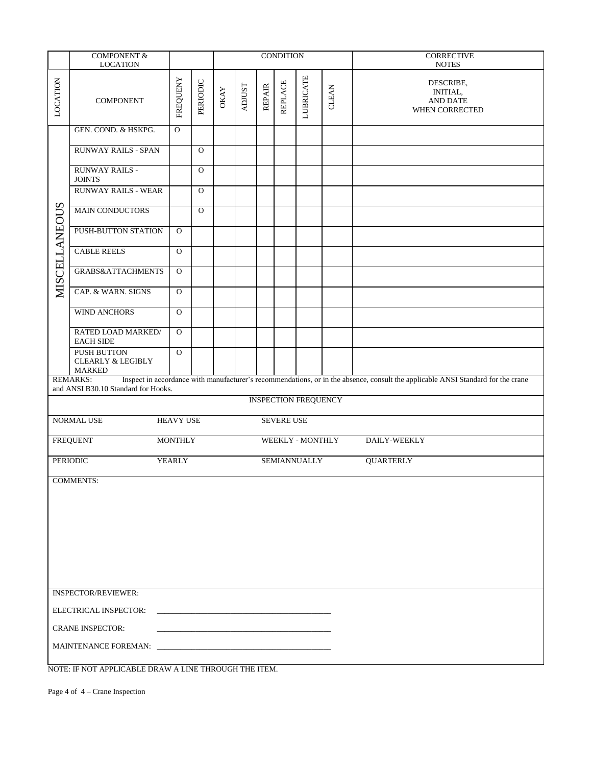|                      | <b>COMPONENT &amp;</b><br><b>LOCATION</b>                           |                  |              |             |               |               | <b>CONDITION</b>  |                             |       | <b>CORRECTIVE</b><br><b>NOTES</b>                                                                                                |  |  |  |  |
|----------------------|---------------------------------------------------------------------|------------------|--------------|-------------|---------------|---------------|-------------------|-----------------------------|-------|----------------------------------------------------------------------------------------------------------------------------------|--|--|--|--|
| LOCATION             | <b>COMPONENT</b>                                                    | <b>FREQUENY</b>  | PERIODIC     | <b>OKAY</b> | <b>ADJUST</b> | <b>REPAIR</b> | <b>REPLACE</b>    | <b>LUBRICATE</b>            | CLEAN | DESCRIBE,<br><b>INITIAL,</b><br><b>AND DATE</b><br>WHEN CORRECTED                                                                |  |  |  |  |
|                      | GEN. COND. & HSKPG.                                                 | $\mathbf O$      |              |             |               |               |                   |                             |       |                                                                                                                                  |  |  |  |  |
|                      | <b>RUNWAY RAILS - SPAN</b>                                          |                  | $\mathbf{O}$ |             |               |               |                   |                             |       |                                                                                                                                  |  |  |  |  |
|                      | <b>RUNWAY RAILS -</b><br><b>JOINTS</b>                              |                  | $\mathbf{O}$ |             |               |               |                   |                             |       |                                                                                                                                  |  |  |  |  |
|                      | <b>RUNWAY RAILS - WEAR</b>                                          |                  | $\mathbf{O}$ |             |               |               |                   |                             |       |                                                                                                                                  |  |  |  |  |
|                      | <b>MAIN CONDUCTORS</b>                                              |                  | $\mathbf{O}$ |             |               |               |                   |                             |       |                                                                                                                                  |  |  |  |  |
|                      | PUSH-BUTTON STATION                                                 | $\Omega$         |              |             |               |               |                   |                             |       |                                                                                                                                  |  |  |  |  |
|                      | <b>CABLE REELS</b>                                                  | $\mathbf{O}$     |              |             |               |               |                   |                             |       |                                                                                                                                  |  |  |  |  |
| <b>MISCELLANEOUS</b> | GRABS&ATTACHMENTS                                                   | $\mathbf{O}$     |              |             |               |               |                   |                             |       |                                                                                                                                  |  |  |  |  |
|                      | CAP. & WARN. SIGNS                                                  | $\mathbf{O}$     |              |             |               |               |                   |                             |       |                                                                                                                                  |  |  |  |  |
|                      | <b>WIND ANCHORS</b>                                                 | $\mathbf{O}$     |              |             |               |               |                   |                             |       |                                                                                                                                  |  |  |  |  |
|                      | RATED LOAD MARKED/<br><b>EACH SIDE</b>                              | $\mathbf{O}$     |              |             |               |               |                   |                             |       |                                                                                                                                  |  |  |  |  |
|                      | <b>PUSH BUTTON</b><br><b>CLEARLY &amp; LEGIBLY</b><br><b>MARKED</b> | $\mathbf{O}$     |              |             |               |               |                   |                             |       |                                                                                                                                  |  |  |  |  |
|                      | <b>REMARKS:</b><br>and ANSI B30.10 Standard for Hooks.              |                  |              |             |               |               |                   |                             |       | Inspect in accordance with manufacturer's recommendations, or in the absence, consult the applicable ANSI Standard for the crane |  |  |  |  |
|                      |                                                                     |                  |              |             |               |               |                   | <b>INSPECTION FREQUENCY</b> |       |                                                                                                                                  |  |  |  |  |
|                      | NORMAL USE                                                          | <b>HEAVY USE</b> |              |             |               |               | <b>SEVERE USE</b> |                             |       |                                                                                                                                  |  |  |  |  |
|                      | <b>FREQUENT</b>                                                     | <b>MONTHLY</b>   |              |             |               |               |                   | WEEKLY - MONTHLY            |       | DAILY-WEEKLY                                                                                                                     |  |  |  |  |
|                      | PERIODIC                                                            | YEARLY           |              |             |               |               |                   | <b>SEMIANNUALLY</b>         |       | <b>QUARTERLY</b>                                                                                                                 |  |  |  |  |
|                      | <b>COMMENTS:</b>                                                    |                  |              |             |               |               |                   |                             |       |                                                                                                                                  |  |  |  |  |
|                      |                                                                     |                  |              |             |               |               |                   |                             |       |                                                                                                                                  |  |  |  |  |
|                      |                                                                     |                  |              |             |               |               |                   |                             |       |                                                                                                                                  |  |  |  |  |
|                      |                                                                     |                  |              |             |               |               |                   |                             |       |                                                                                                                                  |  |  |  |  |
|                      |                                                                     |                  |              |             |               |               |                   |                             |       |                                                                                                                                  |  |  |  |  |
|                      | <b>INSPECTOR/REVIEWER:</b>                                          |                  |              |             |               |               |                   |                             |       |                                                                                                                                  |  |  |  |  |
|                      | ELECTRICAL INSPECTOR:                                               |                  |              |             |               |               |                   |                             |       |                                                                                                                                  |  |  |  |  |
|                      | <b>CRANE INSPECTOR:</b>                                             |                  |              |             |               |               |                   |                             |       |                                                                                                                                  |  |  |  |  |
|                      |                                                                     |                  |              |             |               |               |                   |                             |       |                                                                                                                                  |  |  |  |  |
|                      | NOTE: IF NOT APPLICABLE DRAW A LINE THROUGH THE ITEM.               |                  |              |             |               |               |                   |                             |       |                                                                                                                                  |  |  |  |  |

Page 4 of 4 – Crane Inspection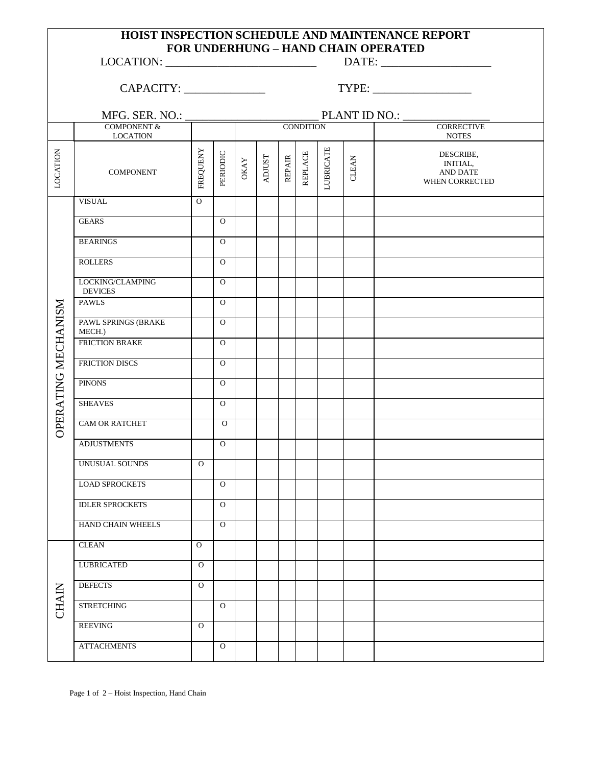## **HOIST INSPECTION SCHEDULE AND MAINTENANCE REPORT FOR UNDERHUNG – HAND CHAIN OPERATED**

 $\text{LOCATION:}\n \underline{\hspace{2cm}} \text{DATE:}\n \underline{\hspace{2cm}}$ 

CAPACITY: TYPE:

|                     | MFG. SER. NO.:                            |                | PLANT ID NO.: |             |               |               |                  |                  |              |                                                            |  |  |  |  |
|---------------------|-------------------------------------------|----------------|---------------|-------------|---------------|---------------|------------------|------------------|--------------|------------------------------------------------------------|--|--|--|--|
|                     | <b>COMPONENT &amp;</b><br><b>LOCATION</b> |                |               |             |               |               | <b>CONDITION</b> |                  |              | <b>CORRECTIVE</b><br><b>NOTES</b>                          |  |  |  |  |
| LOCATION            | <b>COMPONENT</b>                          | FREQUENY       | PERIODIC      | <b>OKAY</b> | <b>ADJUST</b> | <b>REPAIR</b> | <b>REPLACE</b>   | <b>LUBRICATE</b> | <b>CLEAN</b> | DESCRIBE,<br><b>INITIAL,</b><br>AND DATE<br>WHEN CORRECTED |  |  |  |  |
|                     | <b>VISUAL</b>                             | $\overline{0}$ |               |             |               |               |                  |                  |              |                                                            |  |  |  |  |
|                     | <b>GEARS</b>                              |                | $\mathbf{O}$  |             |               |               |                  |                  |              |                                                            |  |  |  |  |
|                     | <b>BEARINGS</b>                           |                | $\mathbf{O}$  |             |               |               |                  |                  |              |                                                            |  |  |  |  |
|                     | <b>ROLLERS</b>                            |                | $\mathbf{O}$  |             |               |               |                  |                  |              |                                                            |  |  |  |  |
|                     | LOCKING/CLAMPING<br><b>DEVICES</b>        |                | $\mathbf O$   |             |               |               |                  |                  |              |                                                            |  |  |  |  |
|                     | <b>PAWLS</b>                              |                | $\mathbf{O}$  |             |               |               |                  |                  |              |                                                            |  |  |  |  |
| OPERATING MECHANISM | PAWL SPRINGS (BRAKE<br>MECH.)             |                | $\mathbf{O}$  |             |               |               |                  |                  |              |                                                            |  |  |  |  |
|                     | FRICTION BRAKE                            |                | $\mathbf{O}$  |             |               |               |                  |                  |              |                                                            |  |  |  |  |
|                     | FRICTION DISCS                            |                | $\mathbf{O}$  |             |               |               |                  |                  |              |                                                            |  |  |  |  |
|                     | <b>PINONS</b>                             |                | $\mathbf{O}$  |             |               |               |                  |                  |              |                                                            |  |  |  |  |
|                     | <b>SHEAVES</b>                            |                | $\mathbf{O}$  |             |               |               |                  |                  |              |                                                            |  |  |  |  |
|                     | <b>CAM OR RATCHET</b>                     |                | $\mathbf{O}$  |             |               |               |                  |                  |              |                                                            |  |  |  |  |
|                     | <b>ADJUSTMENTS</b>                        |                | $\mathbf{O}$  |             |               |               |                  |                  |              |                                                            |  |  |  |  |
|                     | UNUSUAL SOUNDS                            | $\Omega$       |               |             |               |               |                  |                  |              |                                                            |  |  |  |  |
|                     | <b>LOAD SPROCKETS</b>                     |                | $\mathbf{O}$  |             |               |               |                  |                  |              |                                                            |  |  |  |  |
|                     | <b>IDLER SPROCKETS</b>                    |                | $\mathbf{O}$  |             |               |               |                  |                  |              |                                                            |  |  |  |  |
|                     | HAND CHAIN WHEELS                         |                | $\mathbf{O}$  |             |               |               |                  |                  |              |                                                            |  |  |  |  |
|                     | <b>CLEAN</b>                              | $\mathbf{O}$   |               |             |               |               |                  |                  |              |                                                            |  |  |  |  |
|                     | <b>LUBRICATED</b>                         | $\mathbf{O}$   |               |             |               |               |                  |                  |              |                                                            |  |  |  |  |
|                     | <b>DEFECTS</b>                            | $\mathbf{O}$   |               |             |               |               |                  |                  |              |                                                            |  |  |  |  |
| <b>CHAIN</b>        | <b>STRETCHING</b>                         |                | $\mathbf{O}$  |             |               |               |                  |                  |              |                                                            |  |  |  |  |
|                     | <b>REEVING</b>                            | $\mathbf{O}$   |               |             |               |               |                  |                  |              |                                                            |  |  |  |  |
|                     | <b>ATTACHMENTS</b>                        |                | ${\rm O}$     |             |               |               |                  |                  |              |                                                            |  |  |  |  |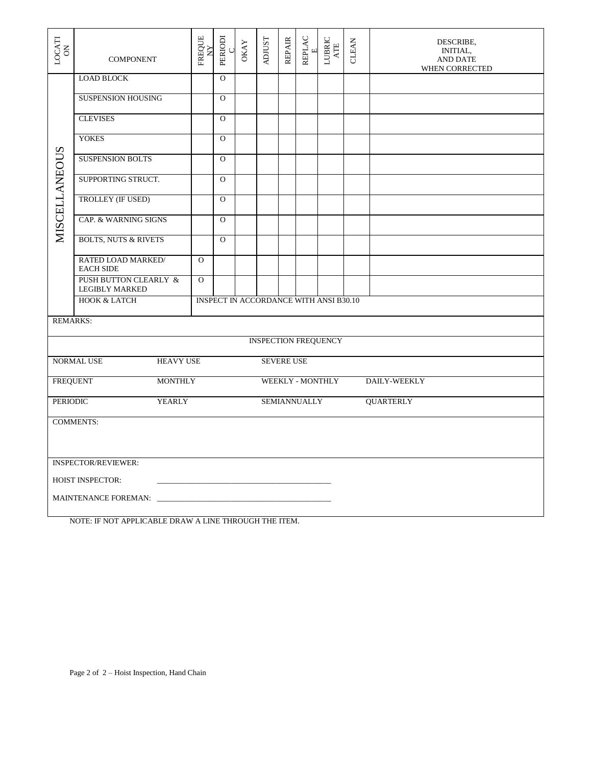| $\begin{array}{c} \text{LOCATI}\\ \text{ON} \end{array}$ | <b>COMPONENT</b>                                          | FREQUE<br>ΧÝ                                  | PERIODI<br>C | <b>OKAY</b> | <b>ADJUST</b> | <b>REPAIR</b>     | REPLAC<br>$\Xi$     | $\begin{array}{c} \text{LUBRIC} \\ \text{ATE} \end{array}$ | CLEAN | DESCRIBE,<br>INITIAL,<br><b>AND DATE</b><br>WHEN CORRECTED |  |  |  |
|----------------------------------------------------------|-----------------------------------------------------------|-----------------------------------------------|--------------|-------------|---------------|-------------------|---------------------|------------------------------------------------------------|-------|------------------------------------------------------------|--|--|--|
|                                                          | <b>LOAD BLOCK</b>                                         |                                               | $\mathbf{O}$ |             |               |                   |                     |                                                            |       |                                                            |  |  |  |
|                                                          | <b>SUSPENSION HOUSING</b>                                 |                                               | $\Omega$     |             |               |                   |                     |                                                            |       |                                                            |  |  |  |
|                                                          | <b>CLEVISES</b>                                           |                                               | $\Omega$     |             |               |                   |                     |                                                            |       |                                                            |  |  |  |
|                                                          | <b>YOKES</b>                                              |                                               | $\mathbf{O}$ |             |               |                   |                     |                                                            |       |                                                            |  |  |  |
|                                                          | <b>SUSPENSION BOLTS</b>                                   |                                               | $\mathbf{O}$ |             |               |                   |                     |                                                            |       |                                                            |  |  |  |
|                                                          | SUPPORTING STRUCT.                                        |                                               | $\mathbf{O}$ |             |               |                   |                     |                                                            |       |                                                            |  |  |  |
| MISCELLANEOUS                                            | TROLLEY (IF USED)                                         |                                               | $\Omega$     |             |               |                   |                     |                                                            |       |                                                            |  |  |  |
|                                                          | CAP. & WARNING SIGNS                                      |                                               | $\Omega$     |             |               |                   |                     |                                                            |       |                                                            |  |  |  |
|                                                          | <b>BOLTS, NUTS &amp; RIVETS</b>                           |                                               | $\Omega$     |             |               |                   |                     |                                                            |       |                                                            |  |  |  |
|                                                          | RATED LOAD MARKED/<br><b>EACH SIDE</b>                    | $\Omega$                                      |              |             |               |                   |                     |                                                            |       |                                                            |  |  |  |
|                                                          | <b>PUSH BUTTON CLEARLY &amp;</b><br><b>LEGIBLY MARKED</b> | $\Omega$                                      |              |             |               |                   |                     |                                                            |       |                                                            |  |  |  |
|                                                          | <b>HOOK &amp; LATCH</b>                                   | <b>INSPECT IN ACCORDANCE WITH ANSI B30.10</b> |              |             |               |                   |                     |                                                            |       |                                                            |  |  |  |
| <b>REMARKS:</b>                                          |                                                           |                                               |              |             |               |                   |                     |                                                            |       |                                                            |  |  |  |
|                                                          |                                                           |                                               |              |             |               |                   |                     | <b>INSPECTION FREQUENCY</b>                                |       |                                                            |  |  |  |
|                                                          | <b>NORMAL USE</b><br><b>HEAVY USE</b>                     |                                               |              |             |               | <b>SEVERE USE</b> |                     |                                                            |       |                                                            |  |  |  |
| <b>FREQUENT</b>                                          | <b>MONTHLY</b>                                            |                                               |              |             |               |                   |                     | WEEKLY - MONTHLY                                           |       | <b>DAILY-WEEKLY</b>                                        |  |  |  |
| <b>PERIODIC</b>                                          | YEARLY                                                    |                                               |              |             |               |                   | <b>SEMIANNUALLY</b> |                                                            |       | <b>QUARTERLY</b>                                           |  |  |  |
|                                                          | <b>COMMENTS:</b>                                          |                                               |              |             |               |                   |                     |                                                            |       |                                                            |  |  |  |
|                                                          | <b>INSPECTOR/REVIEWER:</b>                                |                                               |              |             |               |                   |                     |                                                            |       |                                                            |  |  |  |
|                                                          | <b>HOIST INSPECTOR:</b>                                   |                                               |              |             |               |                   |                     |                                                            |       |                                                            |  |  |  |
|                                                          | MAINTENANCE FOREMAN:                                      |                                               |              |             |               |                   |                     |                                                            |       |                                                            |  |  |  |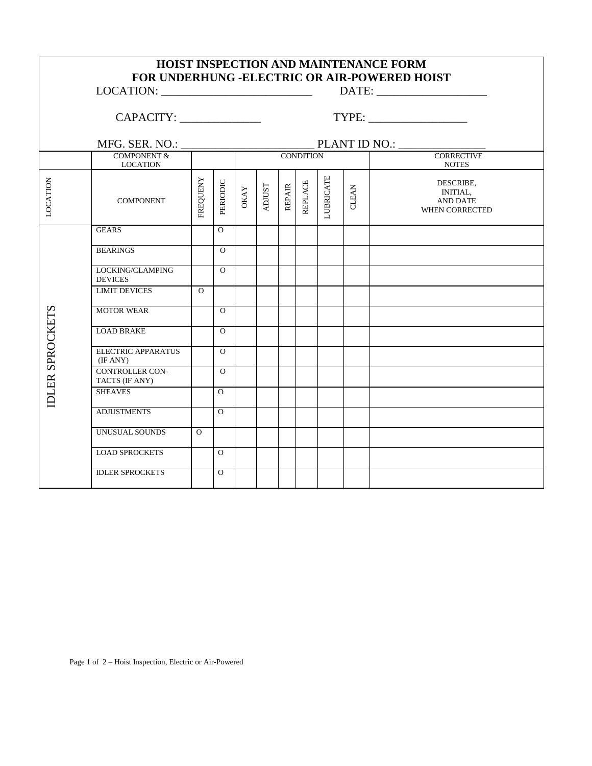|                        |                                          |          |                |        |                                        |               |                |                  |       | HOIST INSPECTION AND MAINTENANCE FORM<br>FOR UNDERHUNG -ELECTRIC OR AIR-POWERED HOIST |  |  |  |  |  |
|------------------------|------------------------------------------|----------|----------------|--------|----------------------------------------|---------------|----------------|------------------|-------|---------------------------------------------------------------------------------------|--|--|--|--|--|
|                        |                                          |          |                |        |                                        |               |                |                  |       |                                                                                       |  |  |  |  |  |
|                        |                                          |          |                |        |                                        |               |                |                  |       |                                                                                       |  |  |  |  |  |
|                        |                                          |          |                |        | MFG. SER. NO.: PLANT ID NO.: CONDITION |               |                |                  |       |                                                                                       |  |  |  |  |  |
|                        | <b>LOCATION</b>                          |          |                |        |                                        |               |                | <b>NOTES</b>     |       |                                                                                       |  |  |  |  |  |
| LOCATION               | <b>COMPONENT</b>                         | FREQUENY | PERIODIC       | $OKAY$ | <b>ADJUST</b>                          | <b>REPAIR</b> | <b>REPLACE</b> | <b>LUBRICATE</b> | CLEAN | DESCRIBE,<br>INITIAL,<br>AND DATE<br><b>WHEN CORRECTED</b>                            |  |  |  |  |  |
|                        | <b>GEARS</b>                             |          | $\Omega$       |        |                                        |               |                |                  |       |                                                                                       |  |  |  |  |  |
|                        | <b>BEARINGS</b>                          |          | $\Omega$       |        |                                        |               |                |                  |       |                                                                                       |  |  |  |  |  |
|                        | LOCKING/CLAMPING<br><b>DEVICES</b>       |          | $\Omega$       |        |                                        |               |                |                  |       |                                                                                       |  |  |  |  |  |
|                        | <b>LIMIT DEVICES</b>                     | $\Omega$ |                |        |                                        |               |                |                  |       |                                                                                       |  |  |  |  |  |
|                        | <b>MOTOR WEAR</b>                        |          | $\Omega$       |        |                                        |               |                |                  |       |                                                                                       |  |  |  |  |  |
|                        | <b>LOAD BRAKE</b>                        |          | $\Omega$       |        |                                        |               |                |                  |       |                                                                                       |  |  |  |  |  |
| <b>IDLER SPROCKETS</b> | <b>ELECTRIC APPARATUS</b><br>(IF ANY)    |          | $\Omega$       |        |                                        |               |                |                  |       |                                                                                       |  |  |  |  |  |
|                        | <b>CONTROLLER CON-</b><br>TACTS (IF ANY) |          | $\Omega$       |        |                                        |               |                |                  |       |                                                                                       |  |  |  |  |  |
|                        | <b>SHEAVES</b>                           |          | $\overline{O}$ |        |                                        |               |                |                  |       |                                                                                       |  |  |  |  |  |
|                        | <b>ADJUSTMENTS</b>                       |          | $\Omega$       |        |                                        |               |                |                  |       |                                                                                       |  |  |  |  |  |
|                        | UNUSUAL SOUNDS                           | $\Omega$ |                |        |                                        |               |                |                  |       |                                                                                       |  |  |  |  |  |
|                        | <b>LOAD SPROCKETS</b>                    |          | $\overline{O}$ |        |                                        |               |                |                  |       |                                                                                       |  |  |  |  |  |
|                        | <b>IDLER SPROCKETS</b>                   |          | $\Omega$       |        |                                        |               |                |                  |       |                                                                                       |  |  |  |  |  |

٦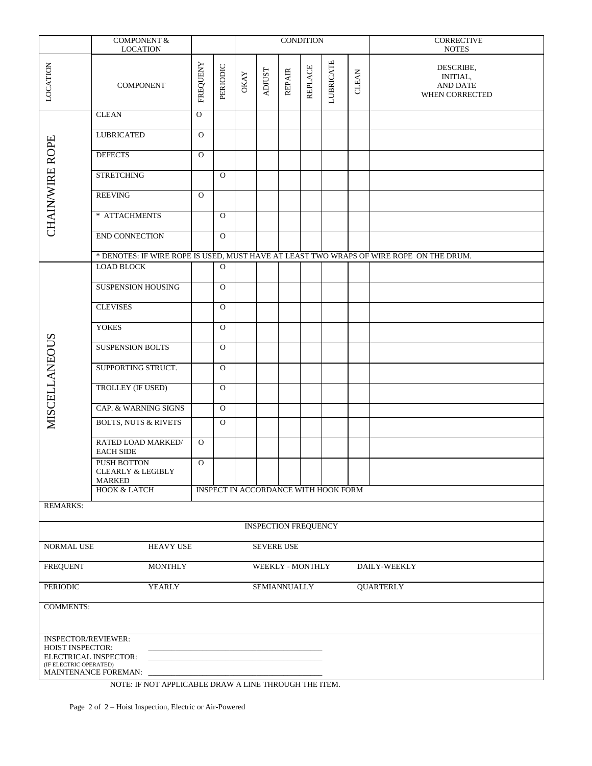|                                                                                                                                         | COMPONENT $\&$                                        |              |              |            |               |               | <b>CONDITION</b>            |                                                                                         |              | <b>CORRECTIVE</b><br><b>NOTES</b>                                 |  |  |  |
|-----------------------------------------------------------------------------------------------------------------------------------------|-------------------------------------------------------|--------------|--------------|------------|---------------|---------------|-----------------------------|-----------------------------------------------------------------------------------------|--------------|-------------------------------------------------------------------|--|--|--|
|                                                                                                                                         | <b>LOCATION</b>                                       |              |              |            |               |               |                             |                                                                                         |              |                                                                   |  |  |  |
| LOCATION                                                                                                                                | <b>COMPONENT</b>                                      | FREQUENY     | PERIODIC     | $\rm OKAY$ | <b>ADJUST</b> | <b>REPAIR</b> | <b>REPLACE</b>              | <b>LUBRICATE</b>                                                                        | <b>CLEAN</b> | DESCRIBE,<br><b>INITIAL,</b><br><b>AND DATE</b><br>WHEN CORRECTED |  |  |  |
|                                                                                                                                         | <b>CLEAN</b>                                          | $\mathbf{O}$ |              |            |               |               |                             |                                                                                         |              |                                                                   |  |  |  |
|                                                                                                                                         | <b>LUBRICATED</b>                                     | $\mathbf{O}$ |              |            |               |               |                             |                                                                                         |              |                                                                   |  |  |  |
|                                                                                                                                         | <b>DEFECTS</b>                                        | $\Omega$     |              |            |               |               |                             |                                                                                         |              |                                                                   |  |  |  |
|                                                                                                                                         | <b>STRETCHING</b>                                     |              | $\mathbf{O}$ |            |               |               |                             |                                                                                         |              |                                                                   |  |  |  |
| <b>CHAIN/WIRE ROPE</b>                                                                                                                  | <b>REEVING</b>                                        | $\Omega$     |              |            |               |               |                             |                                                                                         |              |                                                                   |  |  |  |
|                                                                                                                                         | * ATTACHMENTS                                         |              | $\mathbf{O}$ |            |               |               |                             |                                                                                         |              |                                                                   |  |  |  |
|                                                                                                                                         | END CONNECTION                                        |              | $\mathbf{O}$ |            |               |               |                             |                                                                                         |              |                                                                   |  |  |  |
|                                                                                                                                         |                                                       |              |              |            |               |               |                             | * DENOTES: IF WIRE ROPE IS USED, MUST HAVE AT LEAST TWO WRAPS OF WIRE ROPE ON THE DRUM. |              |                                                                   |  |  |  |
|                                                                                                                                         | <b>LOAD BLOCK</b>                                     |              | $\mathbf{O}$ |            |               |               |                             |                                                                                         |              |                                                                   |  |  |  |
|                                                                                                                                         | <b>SUSPENSION HOUSING</b>                             |              | $\Omega$     |            |               |               |                             |                                                                                         |              |                                                                   |  |  |  |
|                                                                                                                                         | <b>CLEVISES</b>                                       |              | $\Omega$     |            |               |               |                             |                                                                                         |              |                                                                   |  |  |  |
|                                                                                                                                         | <b>YOKES</b>                                          |              | $\mathbf{O}$ |            |               |               |                             |                                                                                         |              |                                                                   |  |  |  |
|                                                                                                                                         | <b>SUSPENSION BOLTS</b>                               |              | $\Omega$     |            |               |               |                             |                                                                                         |              |                                                                   |  |  |  |
| <b>MISCELLANEOUS</b>                                                                                                                    | SUPPORTING STRUCT.                                    |              | $\mathbf{O}$ |            |               |               |                             |                                                                                         |              |                                                                   |  |  |  |
|                                                                                                                                         | TROLLEY (IF USED)                                     |              | $\Omega$     |            |               |               |                             |                                                                                         |              |                                                                   |  |  |  |
|                                                                                                                                         | CAP. & WARNING SIGNS                                  |              | $\mathbf O$  |            |               |               |                             |                                                                                         |              |                                                                   |  |  |  |
|                                                                                                                                         | <b>BOLTS, NUTS &amp; RIVETS</b>                       |              | $\Omega$     |            |               |               |                             |                                                                                         |              |                                                                   |  |  |  |
|                                                                                                                                         | RATED LOAD MARKED/<br><b>EACH SIDE</b>                | $\Omega$     |              |            |               |               |                             |                                                                                         |              |                                                                   |  |  |  |
|                                                                                                                                         | PUSH BOTTON<br><b>CLEARLY &amp; LEGIBLY</b><br>MARKED | $\mathbf{O}$ |              |            |               |               |                             |                                                                                         |              |                                                                   |  |  |  |
|                                                                                                                                         | HOOK & LATCH                                          |              |              |            |               |               |                             | INSPECT IN ACCORDANCE WITH HOOK FORM                                                    |              |                                                                   |  |  |  |
| <b>REMARKS:</b>                                                                                                                         |                                                       |              |              |            |               |               |                             |                                                                                         |              |                                                                   |  |  |  |
|                                                                                                                                         |                                                       |              |              |            |               |               | <b>INSPECTION FREQUENCY</b> |                                                                                         |              |                                                                   |  |  |  |
| NORMAL USE                                                                                                                              | HEAVY USE                                             |              |              |            |               | SEVERE USE    |                             |                                                                                         |              |                                                                   |  |  |  |
| <b>FREQUENT</b><br><b>MONTHLY</b><br>WEEKLY - MONTHLY<br>DAILY-WEEKLY                                                                   |                                                       |              |              |            |               |               |                             |                                                                                         |              |                                                                   |  |  |  |
| <b>PERIODIC</b><br>YEARLY<br><b>SEMIANNUALLY</b>                                                                                        |                                                       |              |              |            |               |               |                             |                                                                                         |              | <b>QUARTERLY</b>                                                  |  |  |  |
| <b>COMMENTS:</b>                                                                                                                        |                                                       |              |              |            |               |               |                             |                                                                                         |              |                                                                   |  |  |  |
| <b>INSPECTOR/REVIEWER:</b><br><b>HOIST INSPECTOR:</b><br>ELECTRICAL INSPECTOR:<br>(IF ELECTRIC OPERATED)<br><b>MAINTENANCE FOREMAN:</b> |                                                       |              |              |            |               |               |                             |                                                                                         |              |                                                                   |  |  |  |

Page 2 of 2 – Hoist Inspection, Electric or Air-Powered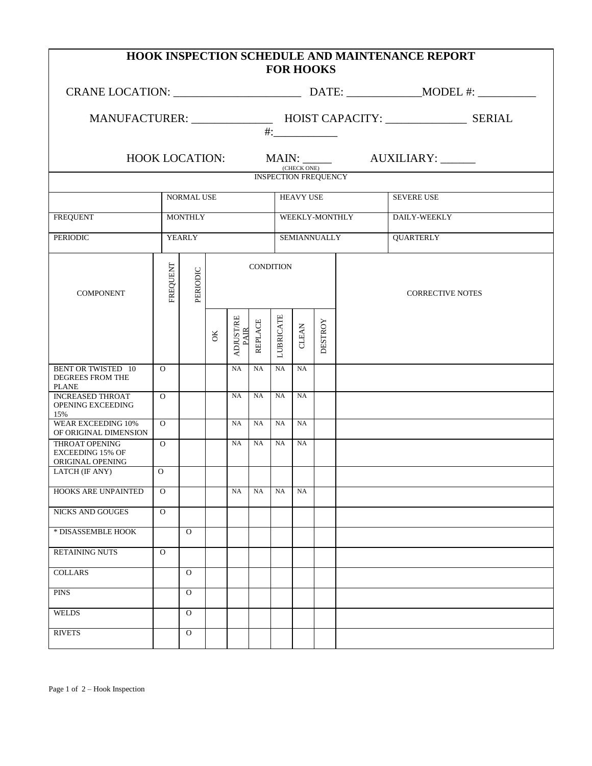| <b>HOOK INSPECTION SCHEDULE AND MAINTENANCE REPORT</b><br><b>FOR HOOKS</b> |                |              |    |                                 |                  |                                                                        |                                            |                |                   |                                              |  |  |  |  |
|----------------------------------------------------------------------------|----------------|--------------|----|---------------------------------|------------------|------------------------------------------------------------------------|--------------------------------------------|----------------|-------------------|----------------------------------------------|--|--|--|--|
|                                                                            |                |              |    |                                 |                  |                                                                        |                                            |                |                   |                                              |  |  |  |  |
|                                                                            |                |              |    |                                 |                  | MANUFACTURER: ________________ HOIST CAPACITY: ________________ SERIAL |                                            |                |                   |                                              |  |  |  |  |
|                                                                            |                |              |    |                                 |                  |                                                                        | (CHECK ONE)<br><b>INSPECTION FREQUENCY</b> |                |                   | HOOK LOCATION: MAIN: ______ AUXILIARY: _____ |  |  |  |  |
|                                                                            |                |              |    |                                 |                  |                                                                        |                                            |                |                   |                                              |  |  |  |  |
|                                                                            | NORMAL USE     |              |    |                                 |                  | <b>HEAVY USE</b>                                                       |                                            |                | <b>SEVERE USE</b> |                                              |  |  |  |  |
| <b>FREQUENT</b>                                                            | <b>MONTHLY</b> |              |    |                                 |                  |                                                                        | WEEKLY-MONTHLY                             | DAILY-WEEKLY   |                   |                                              |  |  |  |  |
| <b>PERIODIC</b><br>YEARLY                                                  |                |              |    |                                 |                  |                                                                        | SEMIANNUALLY                               |                |                   | <b>QUARTERLY</b>                             |  |  |  |  |
| <b>COMPONENT</b>                                                           | FREQUENT       | PERIODIC     |    |                                 | <b>CONDITION</b> |                                                                        |                                            |                |                   | <b>CORRECTIVE NOTES</b>                      |  |  |  |  |
|                                                                            |                |              | ОK | <b>ADJUST/RE</b><br><b>PAIR</b> | <b>REPLACE</b>   | <b>LUBRICATE</b>                                                       | <b>CLEAN</b>                               | <b>DESTROY</b> |                   |                                              |  |  |  |  |
| <b>BENT OR TWISTED 10</b><br>DEGREES FROM THE<br><b>PLANE</b>              | $\Omega$       |              |    | NA                              | NA               | NA                                                                     | NA                                         |                |                   |                                              |  |  |  |  |
| <b>INCREASED THROAT</b><br>OPENING EXCEEDING<br>15%                        | $\overline{0}$ |              |    | NA                              | <b>NA</b>        | NA                                                                     | NA                                         |                |                   |                                              |  |  |  |  |
| <b>WEAR EXCEEDING 10%</b><br>OF ORIGINAL DIMENSION                         | $\Omega$       |              |    | NA                              | <b>NA</b>        | NA                                                                     | <b>NA</b>                                  |                |                   |                                              |  |  |  |  |
| <b>THROAT OPENING</b><br><b>EXCEEDING 15% OF</b><br>ORIGINAL OPENING       | $\overline{O}$ |              |    | NA                              | NA               | NA                                                                     | NA                                         |                |                   |                                              |  |  |  |  |
| LATCH (IF ANY)                                                             | $\Omega$       |              |    |                                 |                  |                                                                        |                                            |                |                   |                                              |  |  |  |  |
| HOOKS ARE UNPAINTED                                                        | $\Omega$       |              |    | NA                              | NA               | NA                                                                     | <b>NA</b>                                  |                |                   |                                              |  |  |  |  |
| <b>NICKS AND GOUGES</b>                                                    | $\Omega$       |              |    |                                 |                  |                                                                        |                                            |                |                   |                                              |  |  |  |  |
| * DISASSEMBLE HOOK                                                         |                | $\mathbf{O}$ |    |                                 |                  |                                                                        |                                            |                |                   |                                              |  |  |  |  |
| <b>RETAINING NUTS</b>                                                      | $\Omega$       |              |    |                                 |                  |                                                                        |                                            |                |                   |                                              |  |  |  |  |
| <b>COLLARS</b>                                                             |                | $\Omega$     |    |                                 |                  |                                                                        |                                            |                |                   |                                              |  |  |  |  |
| <b>PINS</b>                                                                |                | $\Omega$     |    |                                 |                  |                                                                        |                                            |                |                   |                                              |  |  |  |  |
| <b>WELDS</b>                                                               |                | $\mathbf{O}$ |    |                                 |                  |                                                                        |                                            |                |                   |                                              |  |  |  |  |
| <b>RIVETS</b>                                                              |                | $\mathbf{O}$ |    |                                 |                  |                                                                        |                                            |                |                   |                                              |  |  |  |  |